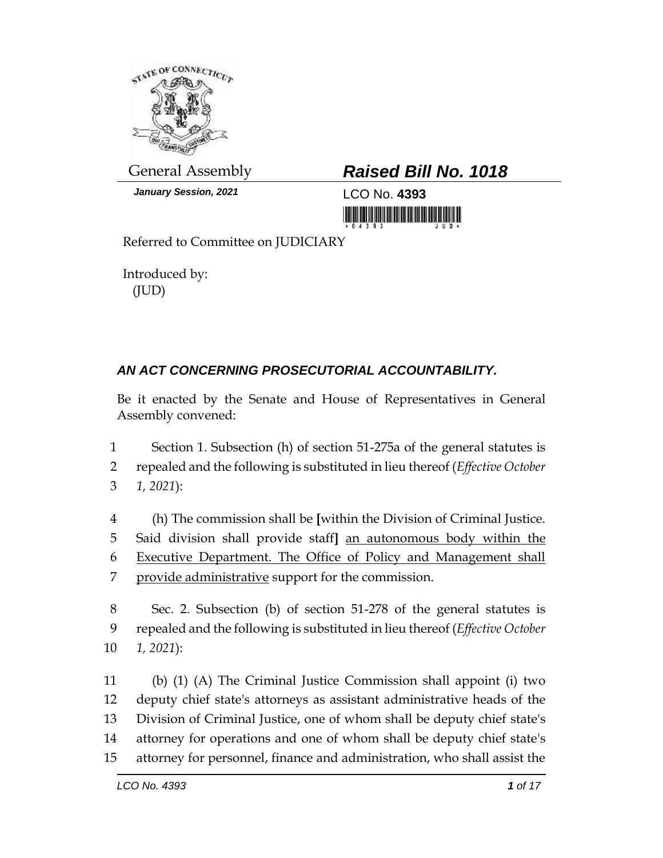

*January Session, 2021* LCO No. **4393**

## General Assembly *Raised Bill No. 1018*

<u> 1999 - Andrew Maria Maria Maria Maria Maria Maria Maria Maria Maria Maria Maria Maria Maria Maria Maria Mari</u>

Referred to Committee on JUDICIARY

Introduced by: (JUD)

## *AN ACT CONCERNING PROSECUTORIAL ACCOUNTABILITY.*

Be it enacted by the Senate and House of Representatives in General Assembly convened:

1 Section 1. Subsection (h) of section 51-275a of the general statutes is 2 repealed and the following is substituted in lieu thereof (*Effective October*  3 *1, 2021*):

 (h) The commission shall be **[**within the Division of Criminal Justice. Said division shall provide staff**]** an autonomous body within the Executive Department. The Office of Policy and Management shall provide administrative support for the commission.

8 Sec. 2. Subsection (b) of section 51-278 of the general statutes is 9 repealed and the following is substituted in lieu thereof (*Effective October*  10 *1, 2021*):

 (b) (1) (A) The Criminal Justice Commission shall appoint (i) two deputy chief state's attorneys as assistant administrative heads of the Division of Criminal Justice, one of whom shall be deputy chief state's attorney for operations and one of whom shall be deputy chief state's attorney for personnel, finance and administration, who shall assist the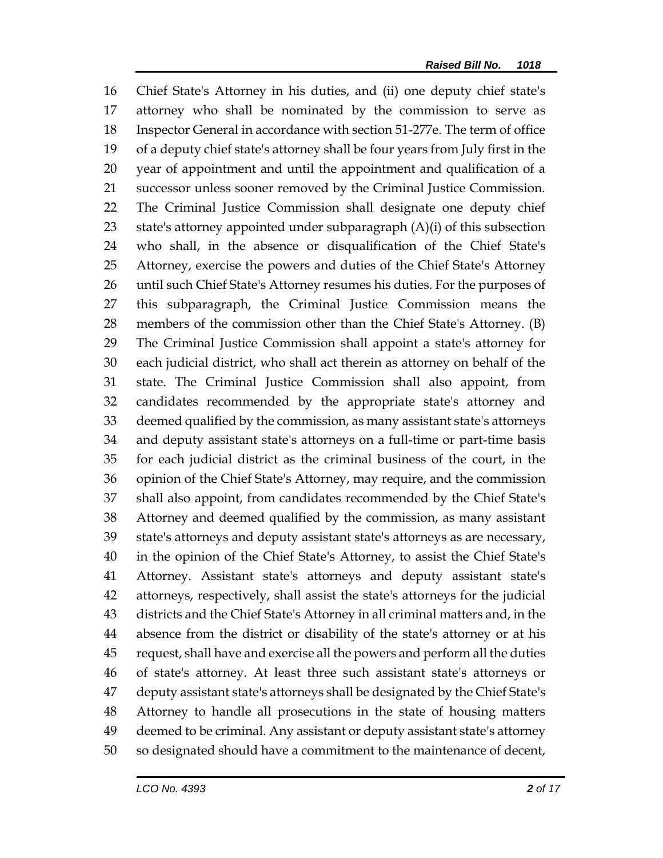Chief State's Attorney in his duties, and (ii) one deputy chief state's attorney who shall be nominated by the commission to serve as Inspector General in accordance with section 51-277e. The term of office of a deputy chief state's attorney shall be four years from July first in the year of appointment and until the appointment and qualification of a successor unless sooner removed by the Criminal Justice Commission. The Criminal Justice Commission shall designate one deputy chief state's attorney appointed under subparagraph (A)(i) of this subsection who shall, in the absence or disqualification of the Chief State's Attorney, exercise the powers and duties of the Chief State's Attorney until such Chief State's Attorney resumes his duties. For the purposes of this subparagraph, the Criminal Justice Commission means the members of the commission other than the Chief State's Attorney. (B) The Criminal Justice Commission shall appoint a state's attorney for each judicial district, who shall act therein as attorney on behalf of the state. The Criminal Justice Commission shall also appoint, from candidates recommended by the appropriate state's attorney and deemed qualified by the commission, as many assistant state's attorneys and deputy assistant state's attorneys on a full-time or part-time basis for each judicial district as the criminal business of the court, in the opinion of the Chief State's Attorney, may require, and the commission shall also appoint, from candidates recommended by the Chief State's Attorney and deemed qualified by the commission, as many assistant state's attorneys and deputy assistant state's attorneys as are necessary, in the opinion of the Chief State's Attorney, to assist the Chief State's Attorney. Assistant state's attorneys and deputy assistant state's attorneys, respectively, shall assist the state's attorneys for the judicial districts and the Chief State's Attorney in all criminal matters and, in the absence from the district or disability of the state's attorney or at his request, shall have and exercise all the powers and perform all the duties of state's attorney. At least three such assistant state's attorneys or deputy assistant state's attorneys shall be designated by the Chief State's Attorney to handle all prosecutions in the state of housing matters deemed to be criminal. Any assistant or deputy assistant state's attorney so designated should have a commitment to the maintenance of decent,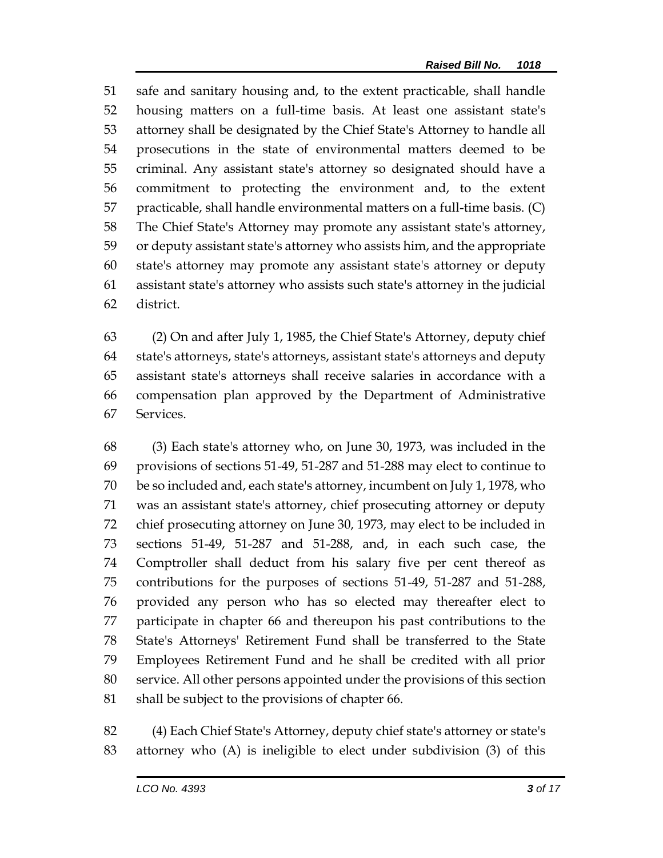safe and sanitary housing and, to the extent practicable, shall handle housing matters on a full-time basis. At least one assistant state's attorney shall be designated by the Chief State's Attorney to handle all prosecutions in the state of environmental matters deemed to be criminal. Any assistant state's attorney so designated should have a commitment to protecting the environment and, to the extent practicable, shall handle environmental matters on a full-time basis. (C) The Chief State's Attorney may promote any assistant state's attorney, or deputy assistant state's attorney who assists him, and the appropriate state's attorney may promote any assistant state's attorney or deputy assistant state's attorney who assists such state's attorney in the judicial district.

 (2) On and after July 1, 1985, the Chief State's Attorney, deputy chief state's attorneys, state's attorneys, assistant state's attorneys and deputy assistant state's attorneys shall receive salaries in accordance with a compensation plan approved by the Department of Administrative Services.

 (3) Each state's attorney who, on June 30, 1973, was included in the provisions of sections 51-49, 51-287 and 51-288 may elect to continue to be so included and, each state's attorney, incumbent on July 1, 1978, who was an assistant state's attorney, chief prosecuting attorney or deputy chief prosecuting attorney on June 30, 1973, may elect to be included in sections 51-49, 51-287 and 51-288, and, in each such case, the Comptroller shall deduct from his salary five per cent thereof as contributions for the purposes of sections 51-49, 51-287 and 51-288, provided any person who has so elected may thereafter elect to participate in chapter 66 and thereupon his past contributions to the State's Attorneys' Retirement Fund shall be transferred to the State Employees Retirement Fund and he shall be credited with all prior service. All other persons appointed under the provisions of this section shall be subject to the provisions of chapter 66.

 (4) Each Chief State's Attorney, deputy chief state's attorney or state's attorney who (A) is ineligible to elect under subdivision (3) of this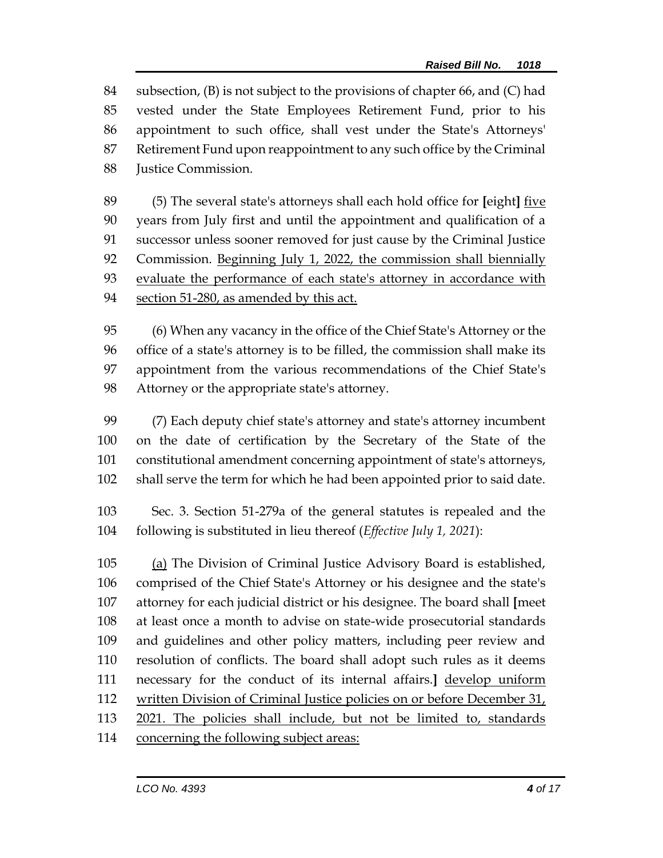subsection, (B) is not subject to the provisions of chapter 66, and (C) had vested under the State Employees Retirement Fund, prior to his appointment to such office, shall vest under the State's Attorneys' Retirement Fund upon reappointment to any such office by the Criminal Justice Commission.

 (5) The several state's attorneys shall each hold office for **[**eight**]** five years from July first and until the appointment and qualification of a successor unless sooner removed for just cause by the Criminal Justice Commission. Beginning July 1, 2022, the commission shall biennially 93 evaluate the performance of each state's attorney in accordance with section 51-280, as amended by this act.

 (6) When any vacancy in the office of the Chief State's Attorney or the office of a state's attorney is to be filled, the commission shall make its appointment from the various recommendations of the Chief State's Attorney or the appropriate state's attorney.

 (7) Each deputy chief state's attorney and state's attorney incumbent on the date of certification by the Secretary of the State of the constitutional amendment concerning appointment of state's attorneys, shall serve the term for which he had been appointed prior to said date.

 Sec. 3. Section 51-279a of the general statutes is repealed and the following is substituted in lieu thereof (*Effective July 1, 2021*):

 (a) The Division of Criminal Justice Advisory Board is established, comprised of the Chief State's Attorney or his designee and the state's attorney for each judicial district or his designee. The board shall **[**meet at least once a month to advise on state-wide prosecutorial standards and guidelines and other policy matters, including peer review and resolution of conflicts. The board shall adopt such rules as it deems necessary for the conduct of its internal affairs.**]** develop uniform 112 written Division of Criminal Justice policies on or before December 31, 2021. The policies shall include, but not be limited to, standards 114 concerning the following subject areas: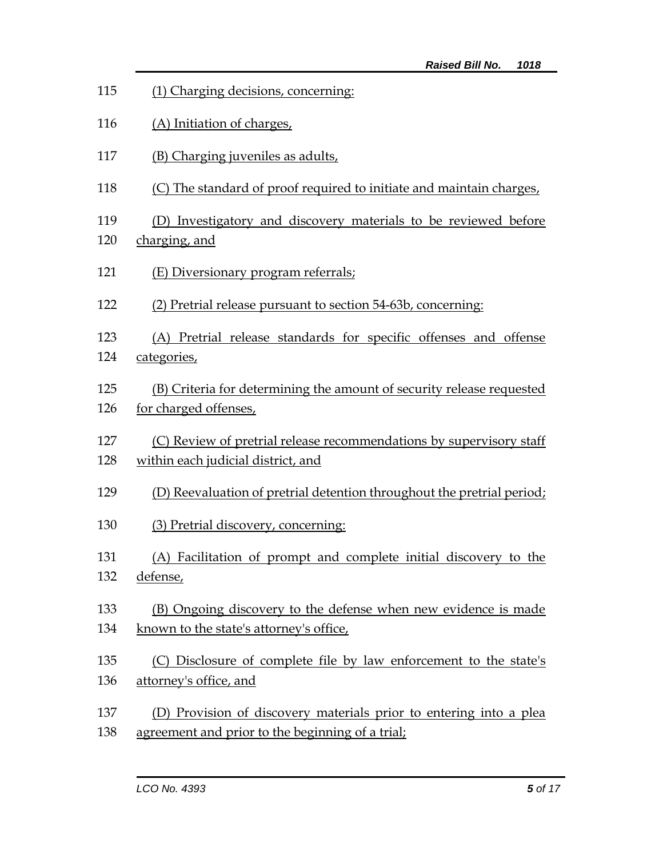| 115 | (1) Charging decisions, concerning:                                    |  |  |
|-----|------------------------------------------------------------------------|--|--|
| 116 | (A) Initiation of charges,                                             |  |  |
| 117 | (B) Charging juveniles as adults,                                      |  |  |
| 118 | (C) The standard of proof required to initiate and maintain charges,   |  |  |
| 119 | (D) Investigatory and discovery materials to be reviewed before        |  |  |
| 120 | charging, and                                                          |  |  |
| 121 | (E) Diversionary program referrals;                                    |  |  |
| 122 | (2) Pretrial release pursuant to section 54-63b, concerning:           |  |  |
| 123 | (A) Pretrial release standards for specific offenses and offense       |  |  |
| 124 | categories,                                                            |  |  |
| 125 | (B) Criteria for determining the amount of security release requested  |  |  |
| 126 | for charged offenses,                                                  |  |  |
| 127 | (C) Review of pretrial release recommendations by supervisory staff    |  |  |
| 128 | within each judicial district, and                                     |  |  |
| 129 | (D) Reevaluation of pretrial detention throughout the pretrial period; |  |  |
| 130 | (3) Pretrial discovery, concerning:                                    |  |  |
| 131 | (A) Facilitation of prompt and complete initial discovery to the       |  |  |
| 132 | defense,                                                               |  |  |
| 133 | (B) Ongoing discovery to the defense when new evidence is made         |  |  |
| 134 | known to the state's attorney's office,                                |  |  |
| 135 | (C) Disclosure of complete file by law enforcement to the state's      |  |  |
| 136 | attorney's office, and                                                 |  |  |
| 137 | (D) Provision of discovery materials prior to entering into a plea     |  |  |
| 138 | agreement and prior to the beginning of a trial;                       |  |  |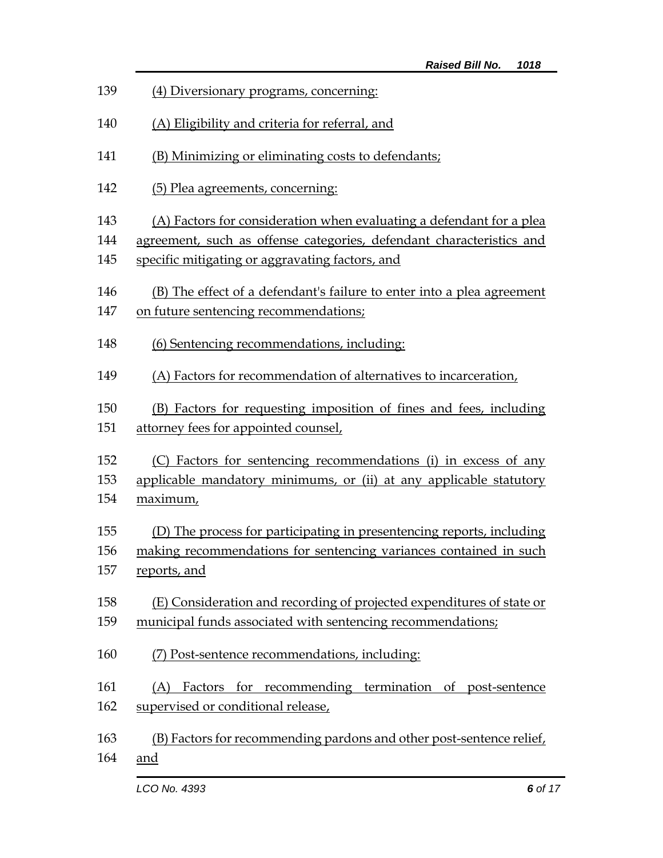| 139 | (4) Diversionary programs, concerning:                                 |  |  |
|-----|------------------------------------------------------------------------|--|--|
| 140 | (A) Eligibility and criteria for referral, and                         |  |  |
| 141 | (B) Minimizing or eliminating costs to defendants;                     |  |  |
| 142 | (5) Plea agreements, concerning:                                       |  |  |
| 143 | (A) Factors for consideration when evaluating a defendant for a plea   |  |  |
| 144 | agreement, such as offense categories, defendant characteristics and   |  |  |
| 145 | specific mitigating or aggravating factors, and                        |  |  |
| 146 | (B) The effect of a defendant's failure to enter into a plea agreement |  |  |
| 147 | on future sentencing recommendations;                                  |  |  |
| 148 | (6) Sentencing recommendations, including:                             |  |  |
| 149 | (A) Factors for recommendation of alternatives to incarceration,       |  |  |
| 150 | (B) Factors for requesting imposition of fines and fees, including     |  |  |
| 151 | attorney fees for appointed counsel,                                   |  |  |
| 152 | (C) Factors for sentencing recommendations (i) in excess of any        |  |  |
| 153 | applicable mandatory minimums, or (ii) at any applicable statutory     |  |  |
| 154 | maximum,                                                               |  |  |
| 155 | (D) The process for participating in presentencing reports, including  |  |  |
| 156 | making recommendations for sentencing variances contained in such      |  |  |
| 157 | reports, and                                                           |  |  |
| 158 | (E) Consideration and recording of projected expenditures of state or  |  |  |
| 159 | municipal funds associated with sentencing recommendations;            |  |  |
| 160 | (7) Post-sentence recommendations, including:                          |  |  |
| 161 | (A) Factors for recommending termination of post-sentence              |  |  |
| 162 | supervised or conditional release,                                     |  |  |
| 163 | (B) Factors for recommending pardons and other post-sentence relief,   |  |  |
| 164 | and                                                                    |  |  |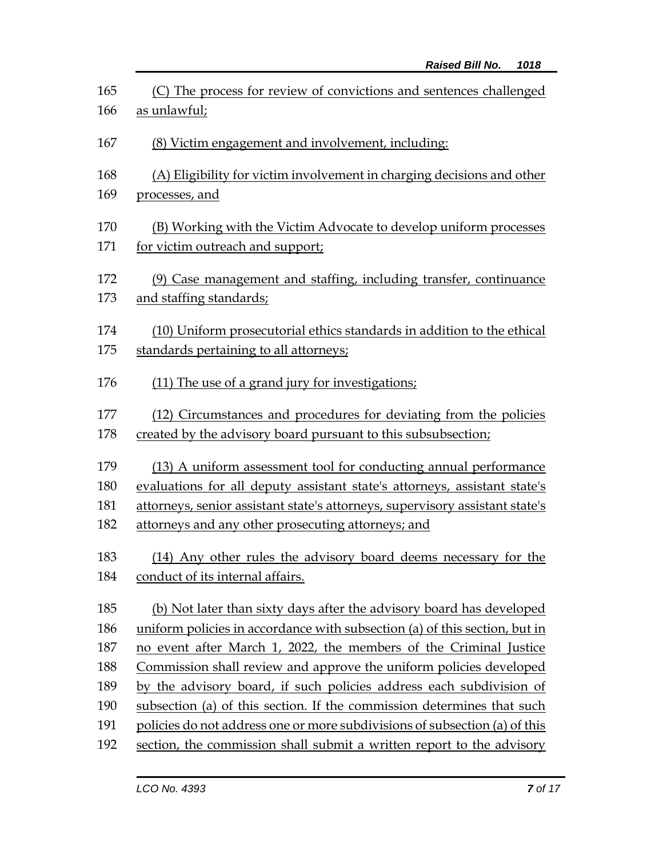| 165<br>166 | (C) The process for review of convictions and sentences challenged<br>as unlawful;                                                 |  |
|------------|------------------------------------------------------------------------------------------------------------------------------------|--|
| 167        | (8) Victim engagement and involvement, including:                                                                                  |  |
| 168<br>169 | (A) Eligibility for victim involvement in charging decisions and other<br>processes, and                                           |  |
| 170<br>171 | (B) Working with the Victim Advocate to develop uniform processes<br>for victim outreach and support;                              |  |
| 172<br>173 | (9) Case management and staffing, including transfer, continuance<br>and staffing standards;                                       |  |
| 174<br>175 | (10) Uniform prosecutorial ethics standards in addition to the ethical<br>standards pertaining to all attorneys;                   |  |
| 176        | (11) The use of a grand jury for investigations;                                                                                   |  |
| 177<br>178 | (12) Circumstances and procedures for deviating from the policies<br>created by the advisory board pursuant to this subsubsection; |  |
| 179        | (13) A uniform assessment tool for conducting annual performance                                                                   |  |
| 180        | evaluations for all deputy assistant state's attorneys, assistant state's                                                          |  |
| 181        | attorneys, senior assistant state's attorneys, supervisory assistant state's                                                       |  |
| 182        | attorneys and any other prosecuting attorneys; and                                                                                 |  |
| 183        | (14) Any other rules the advisory board deems necessary for the                                                                    |  |
| 184        | conduct of its internal affairs.                                                                                                   |  |
| 185        | (b) Not later than sixty days after the advisory board has developed                                                               |  |
| 186        | uniform policies in accordance with subsection (a) of this section, but in                                                         |  |
| 187        | no event after March 1, 2022, the members of the Criminal Justice                                                                  |  |
| 188        | Commission shall review and approve the uniform policies developed                                                                 |  |
| 189        | by the advisory board, if such policies address each subdivision of                                                                |  |
| 190        | subsection (a) of this section. If the commission determines that such                                                             |  |
| 191        | policies do not address one or more subdivisions of subsection (a) of this                                                         |  |
| 192        | section, the commission shall submit a written report to the advisory                                                              |  |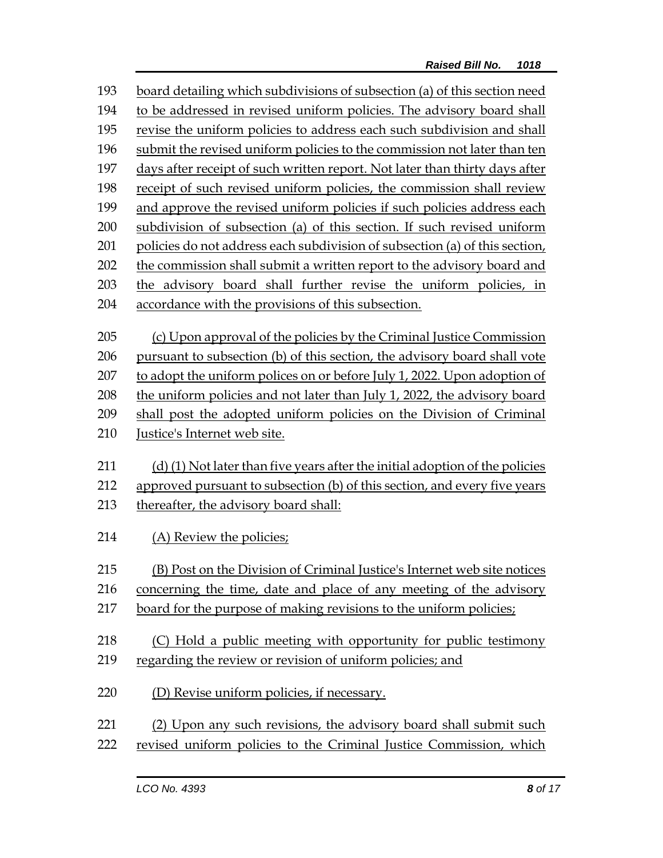| 193 | board detailing which subdivisions of subsection (a) of this section need    |  |  |
|-----|------------------------------------------------------------------------------|--|--|
| 194 | to be addressed in revised uniform policies. The advisory board shall        |  |  |
| 195 | revise the uniform policies to address each such subdivision and shall       |  |  |
| 196 | submit the revised uniform policies to the commission not later than ten     |  |  |
| 197 | days after receipt of such written report. Not later than thirty days after  |  |  |
| 198 | receipt of such revised uniform policies, the commission shall review        |  |  |
| 199 | and approve the revised uniform policies if such policies address each       |  |  |
| 200 | subdivision of subsection (a) of this section. If such revised uniform       |  |  |
| 201 | policies do not address each subdivision of subsection (a) of this section,  |  |  |
| 202 | the commission shall submit a written report to the advisory board and       |  |  |
| 203 | the advisory board shall further revise the uniform policies, in             |  |  |
| 204 | accordance with the provisions of this subsection.                           |  |  |
|     |                                                                              |  |  |
| 205 | (c) Upon approval of the policies by the Criminal Justice Commission         |  |  |
| 206 | pursuant to subsection (b) of this section, the advisory board shall vote    |  |  |
| 207 | to adopt the uniform polices on or before July 1, 2022. Upon adoption of     |  |  |
| 208 | the uniform policies and not later than July 1, 2022, the advisory board     |  |  |
| 209 | shall post the adopted uniform policies on the Division of Criminal          |  |  |
| 210 | Justice's Internet web site.                                                 |  |  |
|     |                                                                              |  |  |
| 211 | (d) (1) Not later than five years after the initial adoption of the policies |  |  |
| 212 | approved pursuant to subsection (b) of this section, and every five years    |  |  |
| 213 | thereafter, the advisory board shall:                                        |  |  |
| 214 | (A) Review the policies;                                                     |  |  |
|     |                                                                              |  |  |
| 215 | (B) Post on the Division of Criminal Justice's Internet web site notices     |  |  |
| 216 | concerning the time, date and place of any meeting of the advisory           |  |  |
| 217 | board for the purpose of making revisions to the uniform policies;           |  |  |
|     |                                                                              |  |  |
| 218 | (C) Hold a public meeting with opportunity for public testimony              |  |  |
| 219 | regarding the review or revision of uniform policies; and                    |  |  |
| 220 | (D) Revise uniform policies, if necessary.                                   |  |  |
| 221 | (2) Upon any such revisions, the advisory board shall submit such            |  |  |
| 222 | revised uniform policies to the Criminal Justice Commission, which           |  |  |
|     |                                                                              |  |  |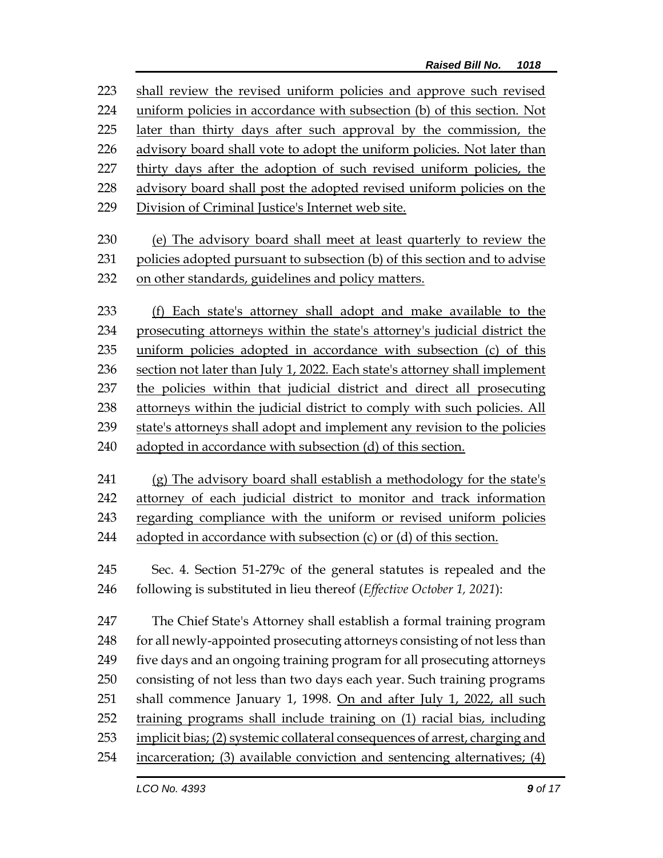shall review the revised uniform policies and approve such revised uniform policies in accordance with subsection (b) of this section. Not later than thirty days after such approval by the commission, the advisory board shall vote to adopt the uniform policies. Not later than thirty days after the adoption of such revised uniform policies, the advisory board shall post the adopted revised uniform policies on the 229 Division of Criminal Justice's Internet web site. (e) The advisory board shall meet at least quarterly to review the policies adopted pursuant to subsection (b) of this section and to advise on other standards, guidelines and policy matters. (f) Each state's attorney shall adopt and make available to the prosecuting attorneys within the state's attorney's judicial district the uniform policies adopted in accordance with subsection (c) of this section not later than July 1, 2022. Each state's attorney shall implement the policies within that judicial district and direct all prosecuting attorneys within the judicial district to comply with such policies. All state's attorneys shall adopt and implement any revision to the policies adopted in accordance with subsection (d) of this section. (g) The advisory board shall establish a methodology for the state's attorney of each judicial district to monitor and track information regarding compliance with the uniform or revised uniform policies 244 adopted in accordance with subsection  $(c)$  or  $(d)$  of this section. Sec. 4. Section 51-279c of the general statutes is repealed and the following is substituted in lieu thereof (*Effective October 1, 2021*): The Chief State's Attorney shall establish a formal training program 248 for all newly-appointed prosecuting attorneys consisting of not less than five days and an ongoing training program for all prosecuting attorneys consisting of not less than two days each year. Such training programs 251 shall commence January 1, 1998. On and after July 1, 2022, all such 252 training programs shall include training on (1) racial bias, including implicit bias; (2) systemic collateral consequences of arrest, charging and incarceration; (3) available conviction and sentencing alternatives; (4)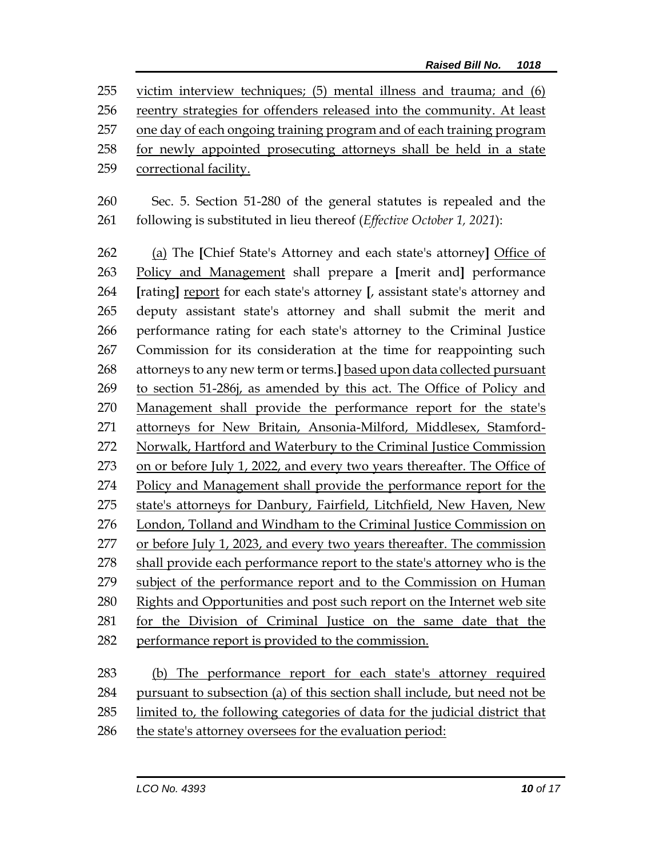victim interview techniques; (5) mental illness and trauma; and (6) reentry strategies for offenders released into the community. At least one day of each ongoing training program and of each training program for newly appointed prosecuting attorneys shall be held in a state correctional facility.

 Sec. 5. Section 51-280 of the general statutes is repealed and the following is substituted in lieu thereof (*Effective October 1, 2021*):

 (a) The **[**Chief State's Attorney and each state's attorney**]** Office of Policy and Management shall prepare a **[**merit and**]** performance **[**rating**]** report for each state's attorney **[**, assistant state's attorney and deputy assistant state's attorney and shall submit the merit and performance rating for each state's attorney to the Criminal Justice Commission for its consideration at the time for reappointing such attorneys to any new term or terms.**]** based upon data collected pursuant to section 51-286j, as amended by this act. The Office of Policy and Management shall provide the performance report for the state's attorneys for New Britain, Ansonia-Milford, Middlesex, Stamford- Norwalk, Hartford and Waterbury to the Criminal Justice Commission on or before July 1, 2022, and every two years thereafter. The Office of Policy and Management shall provide the performance report for the 275 state's attorneys for Danbury, Fairfield, Litchfield, New Haven, New London, Tolland and Windham to the Criminal Justice Commission on or before July 1, 2023, and every two years thereafter. The commission shall provide each performance report to the state's attorney who is the subject of the performance report and to the Commission on Human Rights and Opportunities and post such report on the Internet web site for the Division of Criminal Justice on the same date that the performance report is provided to the commission. (b) The performance report for each state's attorney required

pursuant to subsection (a) of this section shall include, but need not be

limited to, the following categories of data for the judicial district that

the state's attorney oversees for the evaluation period: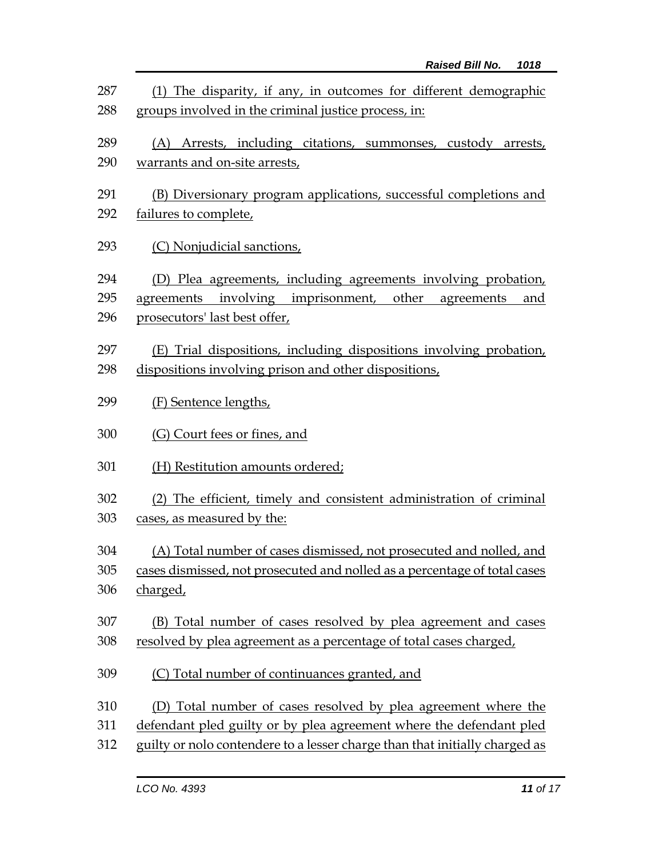| 287<br>288 | (1) The disparity, if any, in outcomes for different demographic<br>groups involved in the criminal justice process, in: |  |  |
|------------|--------------------------------------------------------------------------------------------------------------------------|--|--|
| 289        | (A) Arrests, including citations, summonses, custody arrests,                                                            |  |  |
| 290        | warrants and on-site arrests,                                                                                            |  |  |
| 291        | (B) Diversionary program applications, successful completions and                                                        |  |  |
| 292        | failures to complete,                                                                                                    |  |  |
| 293        | (C) Nonjudicial sanctions,                                                                                               |  |  |
| 294        | (D) Plea agreements, including agreements involving probation,                                                           |  |  |
| 295        | agreements involving imprisonment, other<br>agreements<br>and                                                            |  |  |
| 296        | prosecutors' last best offer,                                                                                            |  |  |
| 297        | (E) Trial dispositions, including dispositions involving probation,                                                      |  |  |
| 298        | dispositions involving prison and other dispositions,                                                                    |  |  |
| 299        | (F) Sentence lengths,                                                                                                    |  |  |
| 300        | (G) Court fees or fines, and                                                                                             |  |  |
| 301        | (H) Restitution amounts ordered;                                                                                         |  |  |
| 302        | (2) The efficient, timely and consistent administration of criminal                                                      |  |  |
| 303        | cases, as measured by the:                                                                                               |  |  |
| 304        | (A) Total number of cases dismissed, not prosecuted and nolled, and                                                      |  |  |
| 305        | cases dismissed, not prosecuted and nolled as a percentage of total cases                                                |  |  |
| 306        | charged,                                                                                                                 |  |  |
| 307        | (B) Total number of cases resolved by plea agreement and cases                                                           |  |  |
| 308        | resolved by plea agreement as a percentage of total cases charged,                                                       |  |  |
| 309        | (C) Total number of continuances granted, and                                                                            |  |  |
| 310        | (D) Total number of cases resolved by plea agreement where the                                                           |  |  |
| 311        | defendant pled guilty or by plea agreement where the defendant pled                                                      |  |  |
| 312        | guilty or nolo contendere to a lesser charge than that initially charged as                                              |  |  |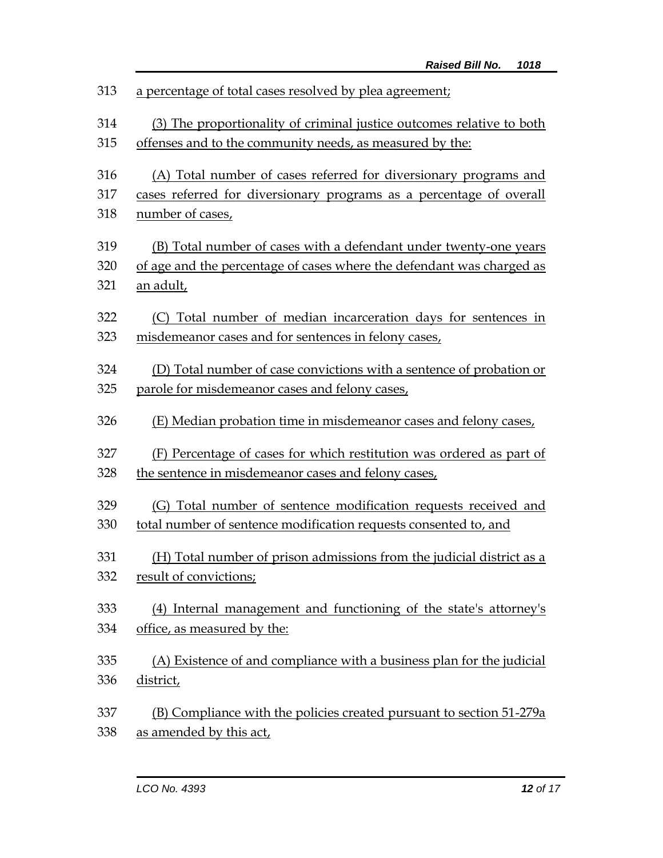| 313 | a percentage of total cases resolved by plea agreement;               |  |  |
|-----|-----------------------------------------------------------------------|--|--|
| 314 | (3) The proportionality of criminal justice outcomes relative to both |  |  |
| 315 | offenses and to the community needs, as measured by the:              |  |  |
| 316 | (A) Total number of cases referred for diversionary programs and      |  |  |
| 317 | cases referred for diversionary programs as a percentage of overall   |  |  |
| 318 | number of cases,                                                      |  |  |
| 319 | (B) Total number of cases with a defendant under twenty-one years     |  |  |
| 320 | of age and the percentage of cases where the defendant was charged as |  |  |
| 321 | <u>an adult,</u>                                                      |  |  |
| 322 | (C) Total number of median incarceration days for sentences in        |  |  |
| 323 | misdemeanor cases and for sentences in felony cases,                  |  |  |
| 324 | (D) Total number of case convictions with a sentence of probation or  |  |  |
| 325 | parole for misdemeanor cases and felony cases,                        |  |  |
| 326 | (E) Median probation time in misdemeanor cases and felony cases,      |  |  |
| 327 | (F) Percentage of cases for which restitution was ordered as part of  |  |  |
| 328 | the sentence in misdemeanor cases and felony cases,                   |  |  |
| 329 | (G) Total number of sentence modification requests received and       |  |  |
| 330 | total number of sentence modification requests consented to, and      |  |  |
| 331 | (H) Total number of prison admissions from the judicial district as a |  |  |
| 332 | result of convictions;                                                |  |  |
| 333 | (4) Internal management and functioning of the state's attorney's     |  |  |
| 334 | office, as measured by the:                                           |  |  |
| 335 | (A) Existence of and compliance with a business plan for the judicial |  |  |
| 336 | district,                                                             |  |  |
|     |                                                                       |  |  |
| 337 | (B) Compliance with the policies created pursuant to section 51-279a  |  |  |
| 338 | as amended by this act,                                               |  |  |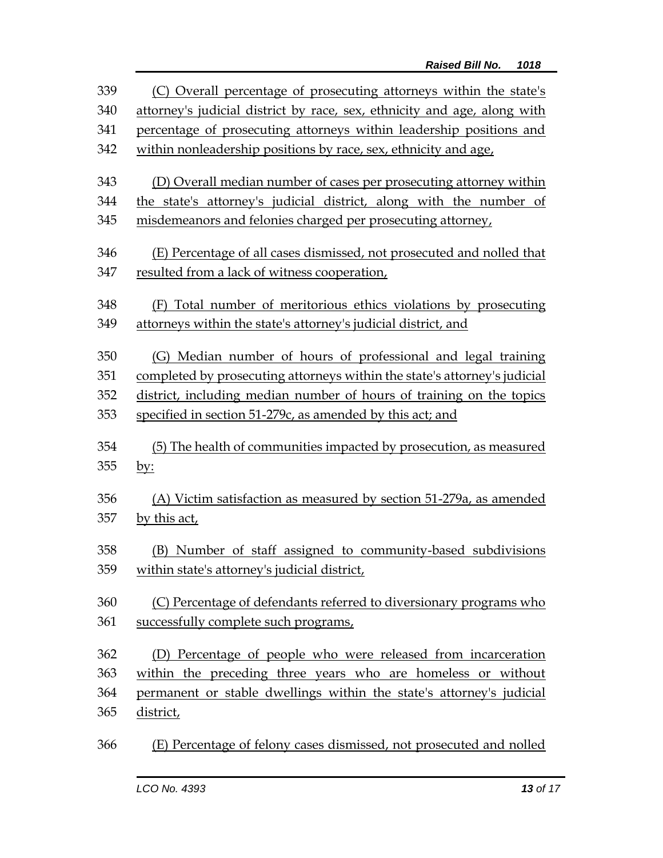| 339 | (C) Overall percentage of prosecuting attorneys within the state's        |  |  |  |
|-----|---------------------------------------------------------------------------|--|--|--|
| 340 | attorney's judicial district by race, sex, ethnicity and age, along with  |  |  |  |
| 341 | percentage of prosecuting attorneys within leadership positions and       |  |  |  |
| 342 | within nonleadership positions by race, sex, ethnicity and age,           |  |  |  |
| 343 | (D) Overall median number of cases per prosecuting attorney within        |  |  |  |
| 344 | the state's attorney's judicial district, along with the number of        |  |  |  |
| 345 | misdemeanors and felonies charged per prosecuting attorney,               |  |  |  |
| 346 | (E) Percentage of all cases dismissed, not prosecuted and nolled that     |  |  |  |
| 347 | resulted from a lack of witness cooperation,                              |  |  |  |
| 348 | (F) Total number of meritorious ethics violations by prosecuting          |  |  |  |
| 349 | attorneys within the state's attorney's judicial district, and            |  |  |  |
| 350 | (G) Median number of hours of professional and legal training             |  |  |  |
| 351 | completed by prosecuting attorneys within the state's attorney's judicial |  |  |  |
| 352 | district, including median number of hours of training on the topics      |  |  |  |
| 353 | specified in section 51-279c, as amended by this act; and                 |  |  |  |
| 354 | (5) The health of communities impacted by prosecution, as measured        |  |  |  |
| 355 | <u>by:</u>                                                                |  |  |  |
| 356 | (A) Victim satisfaction as measured by section 51-279a, as amended        |  |  |  |
| 357 | by this act,                                                              |  |  |  |
| 358 | (B) Number of staff assigned to community-based subdivisions              |  |  |  |
| 359 | within state's attorney's judicial district,                              |  |  |  |
| 360 | (C) Percentage of defendants referred to diversionary programs who        |  |  |  |
| 361 | successfully complete such programs,                                      |  |  |  |
| 362 | (D) Percentage of people who were released from incarceration             |  |  |  |
| 363 | within the preceding three years who are homeless or without              |  |  |  |
| 364 | permanent or stable dwellings within the state's attorney's judicial      |  |  |  |
| 365 | district,                                                                 |  |  |  |
| 366 | (E) Percentage of felony cases dismissed, not prosecuted and nolled       |  |  |  |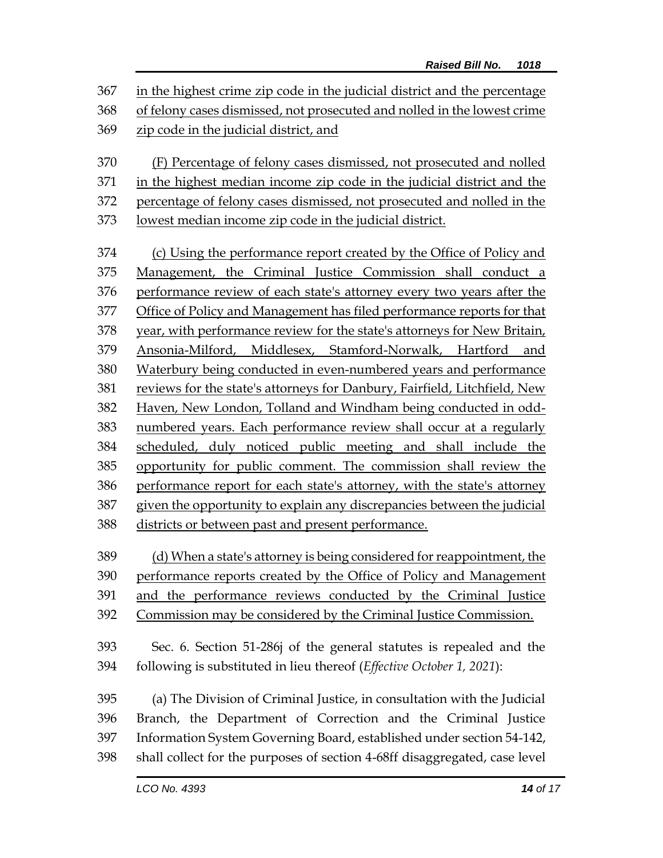in the highest crime zip code in the judicial district and the percentage of felony cases dismissed, not prosecuted and nolled in the lowest crime zip code in the judicial district, and (F) Percentage of felony cases dismissed, not prosecuted and nolled in the highest median income zip code in the judicial district and the percentage of felony cases dismissed, not prosecuted and nolled in the lowest median income zip code in the judicial district. (c) Using the performance report created by the Office of Policy and Management, the Criminal Justice Commission shall conduct a performance review of each state's attorney every two years after the Office of Policy and Management has filed performance reports for that year, with performance review for the state's attorneys for New Britain, Ansonia-Milford, Middlesex, Stamford-Norwalk, Hartford and Waterbury being conducted in even-numbered years and performance reviews for the state's attorneys for Danbury, Fairfield, Litchfield, New Haven, New London, Tolland and Windham being conducted in odd- numbered years. Each performance review shall occur at a regularly scheduled, duly noticed public meeting and shall include the opportunity for public comment. The commission shall review the performance report for each state's attorney, with the state's attorney given the opportunity to explain any discrepancies between the judicial districts or between past and present performance. (d) When a state's attorney is being considered for reappointment, the performance reports created by the Office of Policy and Management and the performance reviews conducted by the Criminal Justice Commission may be considered by the Criminal Justice Commission. Sec. 6. Section 51-286j of the general statutes is repealed and the following is substituted in lieu thereof (*Effective October 1, 2021*): (a) The Division of Criminal Justice, in consultation with the Judicial Branch, the Department of Correction and the Criminal Justice Information System Governing Board, established under section 54-142, shall collect for the purposes of section 4-68ff disaggregated, case level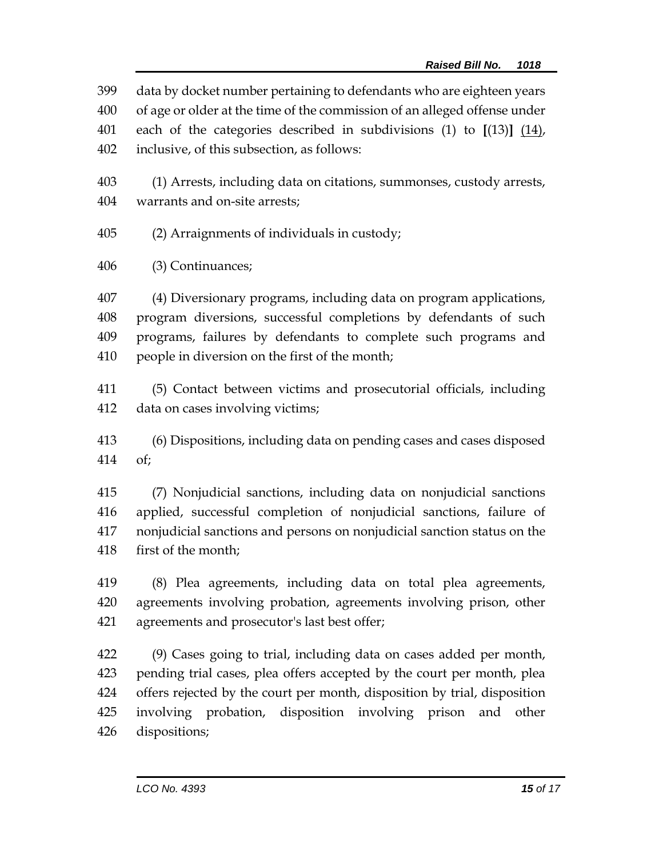data by docket number pertaining to defendants who are eighteen years of age or older at the time of the commission of an alleged offense under each of the categories described in subdivisions (1) to **[**(13)**]** (14),

inclusive, of this subsection, as follows:

 (1) Arrests, including data on citations, summonses, custody arrests, warrants and on-site arrests;

(2) Arraignments of individuals in custody;

(3) Continuances;

 (4) Diversionary programs, including data on program applications, program diversions, successful completions by defendants of such programs, failures by defendants to complete such programs and people in diversion on the first of the month;

 (5) Contact between victims and prosecutorial officials, including data on cases involving victims;

 (6) Dispositions, including data on pending cases and cases disposed of;

 (7) Nonjudicial sanctions, including data on nonjudicial sanctions applied, successful completion of nonjudicial sanctions, failure of nonjudicial sanctions and persons on nonjudicial sanction status on the first of the month;

 (8) Plea agreements, including data on total plea agreements, agreements involving probation, agreements involving prison, other agreements and prosecutor's last best offer;

 (9) Cases going to trial, including data on cases added per month, pending trial cases, plea offers accepted by the court per month, plea offers rejected by the court per month, disposition by trial, disposition involving probation, disposition involving prison and other dispositions;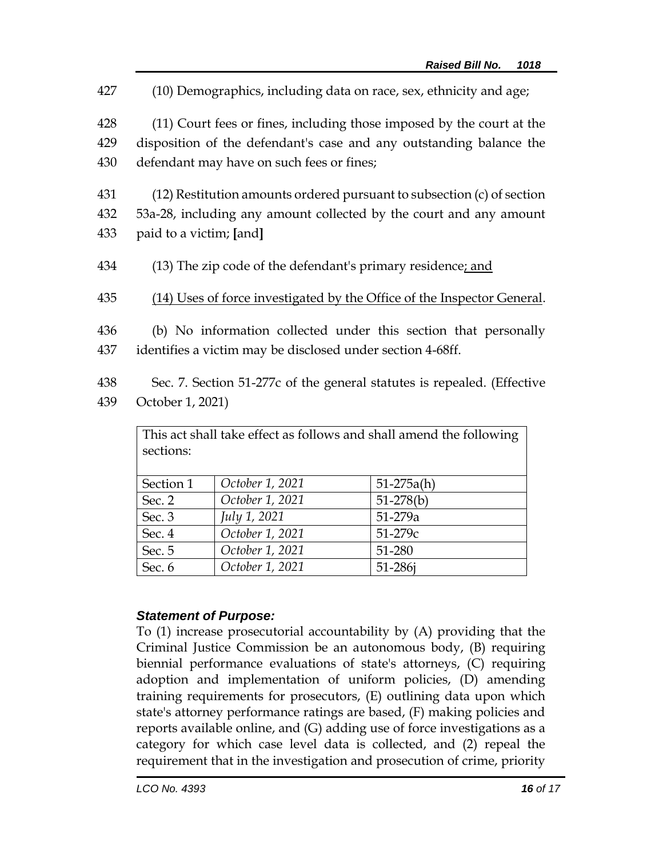(10) Demographics, including data on race, sex, ethnicity and age; (11) Court fees or fines, including those imposed by the court at the disposition of the defendant's case and any outstanding balance the defendant may have on such fees or fines; (12) Restitution amounts ordered pursuant to subsection (c) of section 53a-28, including any amount collected by the court and any amount paid to a victim; **[**and**]** 434 (13) The zip code of the defendant's primary residence; and (14) Uses of force investigated by the Office of the Inspector General. (b) No information collected under this section that personally identifies a victim may be disclosed under section 4-68ff. Sec. 7. Section 51-277c of the general statutes is repealed. (Effective

439 October 1, 2021)

| This act shall take effect as follows and shall amend the following<br>sections: |                 |              |  |  |
|----------------------------------------------------------------------------------|-----------------|--------------|--|--|
| Section 1                                                                        | October 1, 2021 | $51-275a(h)$ |  |  |
| Sec. 2                                                                           | October 1, 2021 | $51-278(b)$  |  |  |
| Sec. 3                                                                           | July 1, 2021    | 51-279a      |  |  |
| Sec. 4                                                                           | October 1, 2021 | $51 - 279c$  |  |  |
| Sec. 5                                                                           | October 1, 2021 | 51-280       |  |  |
| Sec. 6                                                                           | October 1, 2021 | 51-286j      |  |  |

## *Statement of Purpose:*

To (1) increase prosecutorial accountability by (A) providing that the Criminal Justice Commission be an autonomous body, (B) requiring biennial performance evaluations of state's attorneys, (C) requiring adoption and implementation of uniform policies, (D) amending training requirements for prosecutors, (E) outlining data upon which state's attorney performance ratings are based, (F) making policies and reports available online, and (G) adding use of force investigations as a category for which case level data is collected, and (2) repeal the requirement that in the investigation and prosecution of crime, priority